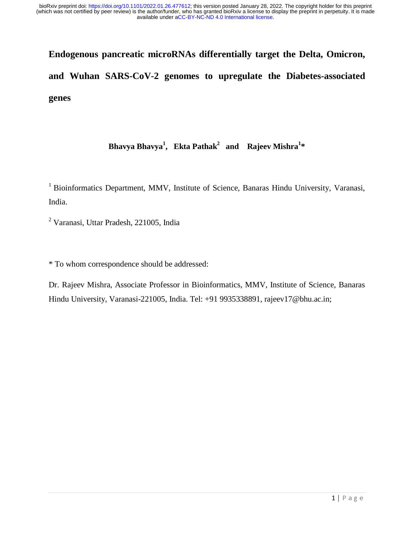# **Endogenous pancreatic microRNAs differentially target the Delta, Omicron, and Wuhan SARS-CoV-2 genomes to upregulate the Diabetes-associated genes**

# **Bhavya Bhavya<sup>1</sup> , Ekta Pathak2 and Rajeev Mishra1 \***

<sup>1</sup> Bioinformatics Department, MMV, Institute of Science, Banaras Hindu University, Varanasi, India.

<sup>2</sup> Varanasi, Uttar Pradesh, 221005, India

\* To whom correspondence should be addressed:

Dr. Rajeev Mishra, Associate Professor in Bioinformatics, MMV, Institute of Science, Banaras Hindu University, Varanasi-221005, India. Tel: +91 9935338891, rajeev17@bhu.ac.in;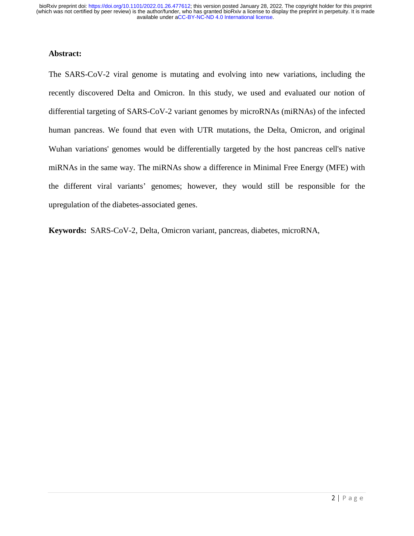#### **Abstract:**

The SARS-CoV-2 viral genome is mutating and evolving into new variations, including the recently discovered Delta and Omicron. In this study, we used and evaluated our notion of differential targeting of SARS-CoV-2 variant genomes by microRNAs (miRNAs) of the infected human pancreas. We found that even with UTR mutations, the Delta, Omicron, and original Wuhan variations' genomes would be differentially targeted by the host pancreas cell's native miRNAs in the same way. The miRNAs show a difference in Minimal Free Energy (MFE) with the different viral variants' genomes; however, they would still be responsible for the upregulation of the diabetes-associated genes.

**Keywords:** SARS-CoV-2, Delta, Omicron variant, pancreas, diabetes, microRNA,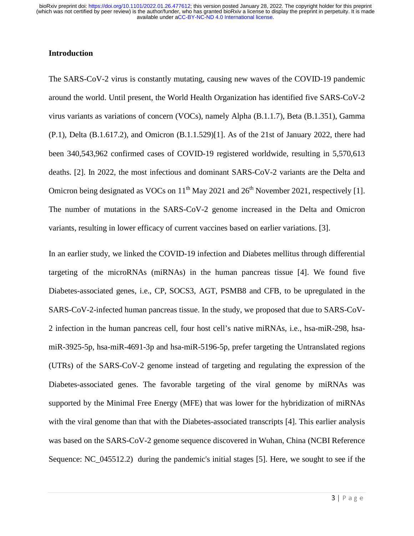## **Introduction**

The SARS-CoV-2 virus is constantly mutating, causing new waves of the COVID-19 pandemic around the world. Until present, the World Health Organization has identified five SARS-CoV-2 virus variants as variations of concern (VOCs), namely Alpha (B.1.1.7), Beta (B.1.351), Gamma (P.1), Delta (B.1.617.2), and Omicron (B.1.1.529)[1]. As of the 21st of January 2022, there had been 340,543,962 confirmed cases of COVID-19 registered worldwide, resulting in 5,570,613 deaths. [2]. In 2022, the most infectious and dominant SARS-CoV-2 variants are the Delta and Omicron being designated as VOCs on  $11<sup>th</sup>$  May 2021 and  $26<sup>th</sup>$  November 2021, respectively [1]. The number of mutations in the SARS-CoV-2 genome increased in the Delta and Omicron variants, resulting in lower efficacy of current vaccines based on earlier variations. [3].

In an earlier study, we linked the COVID-19 infection and Diabetes mellitus through differential targeting of the microRNAs (miRNAs) in the human pancreas tissue [4]. We found five Diabetes-associated genes, i.e., CP, SOCS3, AGT, PSMB8 and CFB, to be upregulated in the SARS-CoV-2-infected human pancreas tissue. In the study, we proposed that due to SARS-CoV-2 infection in the human pancreas cell, four host cell's native miRNAs, i.e., hsa-miR-298, hsamiR-3925-5p, hsa-miR-4691-3p and hsa-miR-5196-5p, prefer targeting the Untranslated regions (UTRs) of the SARS-CoV-2 genome instead of targeting and regulating the expression of the Diabetes-associated genes. The favorable targeting of the viral genome by miRNAs was supported by the Minimal Free Energy (MFE) that was lower for the hybridization of miRNAs with the viral genome than that with the Diabetes-associated transcripts [4]. This earlier analysis was based on the SARS-CoV-2 genome sequence discovered in Wuhan, China (NCBI Reference Sequence: NC 045512.2) during the pandemic's initial stages [5]. Here, we sought to see if the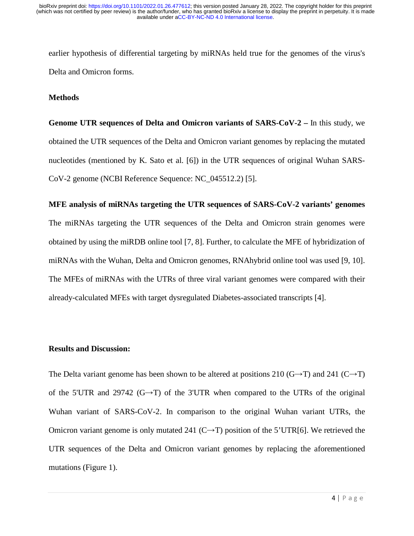earlier hypothesis of differential targeting by miRNAs held true for the genomes of the virus's Delta and Omicron forms.

### **Methods**

Genome UTR sequences of Delta and Omicron variants of SARS-CoV-2 – In this study, we obtained the UTR sequences of the Delta and Omicron variant genomes by replacing the mutated nucleotides (mentioned by K. Sato et al. [6]) in the UTR sequences of original Wuhan SARS-CoV-2 genome (NCBI Reference Sequence: NC\_045512.2) [5].

#### **MFE analysis of miRNAs targeting the UTR sequences of SARS-CoV-2 variants' genomes**

The miRNAs targeting the UTR sequences of the Delta and Omicron strain genomes were obtained by using the miRDB online tool [7, 8]. Further, to calculate the MFE of hybridization of miRNAs with the Wuhan, Delta and Omicron genomes, RNAhybrid online tool was used [9, 10]. The MFEs of miRNAs with the UTRs of three viral variant genomes were compared with their already-calculated MFEs with target dysregulated Diabetes-associated transcripts [4].

# **Results and Discussion:**

The Delta variant genome has been shown to be altered at positions 210 (G→T) and 241 (C→T)  $\sim$ of the 5'UTR and 29742 (G→T) of the 3'UTR when compared to the UTRs of the original Wuhan variant of SARS-CoV-2. In comparison to the original Wuhan variant UTRs, the Omicron variant genome is only mutated 241 (C $\rightarrow$ T) position of the 5'UTR[6]. We retrieved the  $\sim$ UTR sequences of the Delta and Omicron variant genomes by replacing the aforementioned mutations (Figure 1).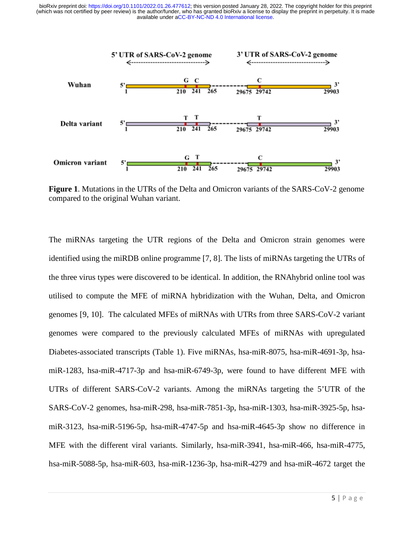

**Figure 1**. Mutations in the UTRs of the Delta and Omicron variants of the SARS-CoV-2 genome compared to the original Wuhan variant. ne<br>re

The miRNAs targeting the UTR regions of the Delta and Omicron strain genomes were identified using the miRDB online programme [7, 8]. The lists of miRNAs targeting the UTRs of the three virus types were discovered to be identical. In addition, the RNAhybrid online tool was utilised to compute the MFE of miRNA hybridization with the Wuhan, Delta, and Omicron genomes [9, 10]. The calculated MFEs of miRNAs with UTRs from three SARS-CoV-2 variant genomes were compared to the previously calculated MFEs of miRNAs with upregulated Diabetes-associated transcripts (Table 1). Five miRNAs, hsa-miR-8075, hsa-miR-4691-3p, hsamiR-1283, hsa-miR-4717-3p and hsa-miR-6749-3p, were found to have different MFE with UTRs of different SARS-CoV-2 variants. Among the miRNAs targeting the 5'UTR of the SARS-CoV-2 genomes, hsa-miR-298, hsa-miR-7851-3p, hsa-miR-1303, hsa-miR-3925-5p, hsa- miR-3123, hsa-miR-5196-5p, hsa-miR-4747-5p and hsa-miR-4645-3p show no difference in MFE with the different viral variants. Similarly, hsa-miR-3941, hsa-miR-466, hsa-miR-4775, , hsa-miR-5088-5p, hsa-miR-603, hsa-miR-1236-3p, hsa-miR-4279 and hsa-miR-4672 target the he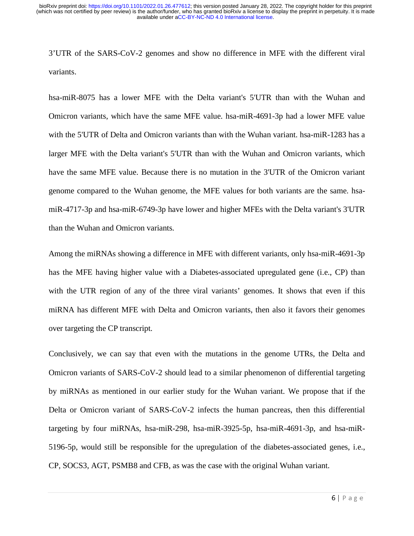3'UTR of the SARS-CoV-2 genomes and show no difference in MFE with the different viral variants.

hsa-miR-8075 has a lower MFE with the Delta variant's 5'UTR than with the Wuhan and Omicron variants, which have the same MFE value. hsa-miR-4691-3p had a lower MFE value with the 5'UTR of Delta and Omicron variants than with the Wuhan variant. hsa-miR-1283 has a larger MFE with the Delta variant's 5'UTR than with the Wuhan and Omicron variants, which have the same MFE value. Because there is no mutation in the 3'UTR of the Omicron variant genome compared to the Wuhan genome, the MFE values for both variants are the same. hsamiR-4717-3p and hsa-miR-6749-3p have lower and higher MFEs with the Delta variant's 3'UTR than the Wuhan and Omicron variants.

Among the miRNAs showing a difference in MFE with different variants, only hsa-miR-4691-3p has the MFE having higher value with a Diabetes-associated upregulated gene (i.e., CP) than with the UTR region of any of the three viral variants' genomes. It shows that even if this miRNA has different MFE with Delta and Omicron variants, then also it favors their genomes over targeting the CP transcript.

Conclusively, we can say that even with the mutations in the genome UTRs, the Delta and Omicron variants of SARS-CoV-2 should lead to a similar phenomenon of differential targeting by miRNAs as mentioned in our earlier study for the Wuhan variant. We propose that if the Delta or Omicron variant of SARS-CoV-2 infects the human pancreas, then this differential targeting by four miRNAs, hsa-miR-298, hsa-miR-3925-5p, hsa-miR-4691-3p, and hsa-miR-5196-5p, would still be responsible for the upregulation of the diabetes-associated genes, i.e., CP, SOCS3, AGT, PSMB8 and CFB, as was the case with the original Wuhan variant.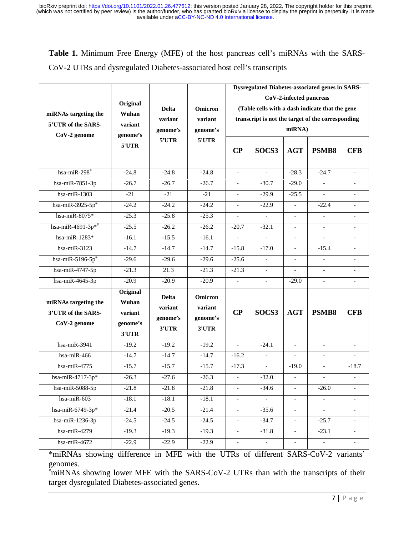**Table 1.** Minimum Free Energy (MFE) of the host pancreas cell's miRNAs with the SARS-CoV-2 UTRs and dysregulated Diabetes-associated host cell's transcripts

|                                                            | Original<br>Wuhan<br>variant<br>genome's<br>5'UTR | <b>Delta</b><br>variant<br>genome's<br>5'UTR | Omicron<br>variant<br>genome's<br>5'UTR | <b>Dysregulated Diabetes-associated genes in SARS-</b><br>CoV-2-infected pancreas<br>(Table cells with a dash indicate that the gene<br>transcript is not the target of the corresponding<br>miRNA) |                          |                          |                          |                          |
|------------------------------------------------------------|---------------------------------------------------|----------------------------------------------|-----------------------------------------|-----------------------------------------------------------------------------------------------------------------------------------------------------------------------------------------------------|--------------------------|--------------------------|--------------------------|--------------------------|
| miRNAs targeting the<br>5'UTR of the SARS-<br>CoV-2 genome |                                                   |                                              |                                         |                                                                                                                                                                                                     |                          |                          |                          |                          |
|                                                            |                                                   |                                              |                                         |                                                                                                                                                                                                     |                          |                          |                          |                          |
|                                                            |                                                   |                                              |                                         | hsa-miR-298 $#$                                                                                                                                                                                     | $-24.8$                  | $-24.8$                  | $-24.8$                  | $\blacksquare$           |
| hsa-miR-7851-3p                                            | $-26.7$                                           | $-26.7$                                      | $-26.7$                                 | $\equiv$                                                                                                                                                                                            | $-30.7$                  | $-29.0$                  | $\overline{\phantom{a}}$ |                          |
| hsa-mi $R-1303$                                            | $-21$                                             | $-21$                                        | $-21$                                   | $\blacksquare$                                                                                                                                                                                      | $-29.9$                  | $-25.5$                  |                          |                          |
| hsa-miR-3925-5 $p^*$                                       | $-24.2$                                           | $-24.2$                                      | $-24.2$                                 | $\overline{\phantom{a}}$                                                                                                                                                                            | $-22.9$                  | $\blacksquare$           | $-22.4$                  | $\blacksquare$           |
| hsa-miR-8075 $*$                                           | $-25.3$                                           | $-25.8$                                      | $-25.3$                                 | $\bar{\phantom{a}}$                                                                                                                                                                                 | $\overline{\phantom{a}}$ | $\blacksquare$           | $\overline{\phantom{a}}$ |                          |
| hsa-miR-4691-3p*#                                          | $-25.5$                                           | $-26.2$                                      | $-26.2$                                 | $-20.7$                                                                                                                                                                                             | $-32.1$                  |                          |                          |                          |
| hsa-miR-1283*                                              | $-16.1$                                           | $-15.5$                                      | $-16.1$                                 | $\overline{\phantom{a}}$                                                                                                                                                                            | $\overline{\phantom{a}}$ | $\overline{\phantom{a}}$ | $\overline{\phantom{a}}$ | $\blacksquare$           |
| hsa-mi $R-3123$                                            | $-14.7$                                           | $-14.7$                                      | $-14.7$                                 | $-15.8$                                                                                                                                                                                             | $-17.0$                  | $\blacksquare$           | $-15.4$                  |                          |
| hsa-miR-5196-5 $p^*$                                       | $-29.6$                                           | $-29.6$                                      | $-29.6$                                 | $-25.6$                                                                                                                                                                                             | $\overline{\phantom{a}}$ | $\blacksquare$           | $\overline{\phantom{a}}$ |                          |
| hsa-miR-4747-5p                                            | $-21.3$                                           | 21.3                                         | $-21.3$                                 | $-21.3$                                                                                                                                                                                             | $\overline{\phantom{a}}$ | $\blacksquare$           | $\overline{\phantom{a}}$ | $\overline{\phantom{a}}$ |
| hsa-miR-4645-3p                                            | $-20.9$                                           | $-20.9$                                      | $-20.9$                                 | $\frac{1}{2}$                                                                                                                                                                                       | $\overline{\phantom{a}}$ | $-29.0$                  | $\overline{\phantom{a}}$ |                          |
| miRNAs targeting the<br>3'UTR of the SARS-<br>CoV-2 genome | Original<br>Wuhan<br>variant<br>genome's<br>3'UTR | <b>Delta</b><br>variant<br>genome's<br>3'UTR | Omicron<br>variant<br>genome's<br>3'UTR | $\bf CP$                                                                                                                                                                                            | SOCS3                    | <b>AGT</b>               | <b>PSMB8</b>             | <b>CFB</b>               |
| hsa-mi $R-3941$                                            | $-19.2$                                           | $-19.2$                                      | $-19.2$                                 | $\overline{a}$                                                                                                                                                                                      | $-24.1$                  | $\bar{\phantom{a}}$      |                          |                          |
| hsa-miR-466                                                | $-14.7$                                           | $-14.7$                                      | $-14.7$                                 | $-16.2$                                                                                                                                                                                             | $\mathbb{L}$             | $\mathcal{L}$            | $\mathcal{L}$            | $\overline{\phantom{a}}$ |
| hsa-miR-4775                                               | $-15.7$                                           | $-15.7$                                      | $-15.7$                                 | $-17.3$                                                                                                                                                                                             | $\Box$                   | $-19.0$                  | $\overline{\phantom{a}}$ | $-18.7$                  |
| hsa-miR-4717-3p*                                           | $-26.3$                                           | $-27.6$                                      | $-26.3$                                 | $\overline{a}$                                                                                                                                                                                      | $-32.0$                  | $\blacksquare$           |                          |                          |
| hsa-miR-5088-5p                                            | $-21.8$                                           | $-21.8$                                      | $-21.8$                                 | $\overline{\phantom{a}}$                                                                                                                                                                            | $-34.6$                  | $\blacksquare$           | $-26.0$                  | $\overline{\phantom{a}}$ |
| hsa-miR-603                                                | $-18.1$                                           | $-18.1$                                      | $-18.1$                                 | $\blacksquare$                                                                                                                                                                                      | $\overline{\phantom{a}}$ | $\blacksquare$           | $\overline{\phantom{a}}$ |                          |
| hsa-miR-6749-3p*                                           | $-21.4$                                           | $-20.5$                                      | $-21.4$                                 | $\overline{\phantom{a}}$                                                                                                                                                                            | $-35.6$                  | $\overline{\phantom{a}}$ | $\overline{\phantom{a}}$ |                          |
| hsa-miR-1236-3p                                            | $-24.5$                                           | $-24.5$                                      | $-24.5$                                 | $\overline{\phantom{a}}$                                                                                                                                                                            | $-34.7$                  | $\overline{\phantom{a}}$ | $-25.7$                  | $\overline{\phantom{a}}$ |
| $hsa-miR-4279$                                             | $-19.3$                                           | $-19.3$                                      | $-19.3$                                 | $\blacksquare$                                                                                                                                                                                      | $-31.8$                  | $\overline{\phantom{a}}$ | $-23.1$                  | $\overline{\phantom{a}}$ |
| hsa-miR-4672                                               | $-22.9$                                           | $-22.9$                                      | $-22.9$                                 | $\overline{\phantom{a}}$                                                                                                                                                                            | $\equiv$                 | $\overline{\phantom{a}}$ | $\sim$                   |                          |

\*miRNAs showing difference in MFE with the UTRs of different SARS-CoV-2 variants' genomes.

# miRNAs showing lower MFE with the SARS-CoV-2 UTRs than with the transcripts of their target dysregulated Diabetes-associated genes.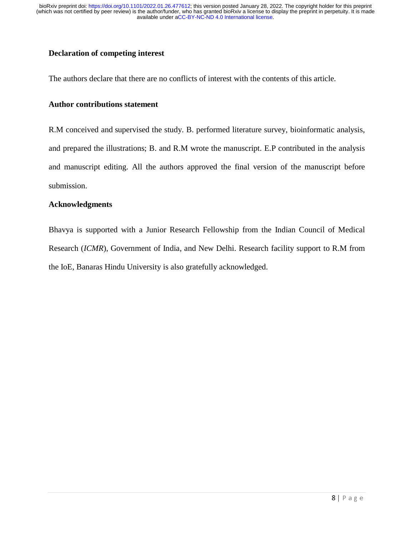# **Declaration of competing interest**

The authors declare that there are no conflicts of interest with the contents of this article.

# **Author contributions statement**

R.M conceived and supervised the study. B. performed literature survey, bioinformatic analysis, and prepared the illustrations; B. and R.M wrote the manuscript. E.P contributed in the analysis and manuscript editing. All the authors approved the final version of the manuscript before submission.

#### **Acknowledgments**

Bhavya is supported with a Junior Research Fellowship from the Indian Council of Medical Research (*ICMR*), Government of India, and New Delhi. Research facility support to R.M from the IoE, Banaras Hindu University is also gratefully acknowledged.